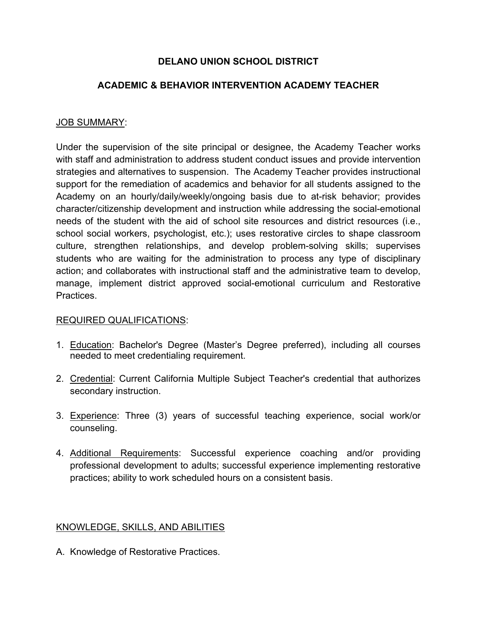# **DELANO UNION SCHOOL DISTRICT**

## **ACADEMIC & BEHAVIOR INTERVENTION ACADEMY TEACHER**

### JOB SUMMARY:

Under the supervision of the site principal or designee, the Academy Teacher works with staff and administration to address student conduct issues and provide intervention strategies and alternatives to suspension. The Academy Teacher provides instructional support for the remediation of academics and behavior for all students assigned to the Academy on an hourly/daily/weekly/ongoing basis due to at-risk behavior; provides character/citizenship development and instruction while addressing the social-emotional needs of the student with the aid of school site resources and district resources (i.e., school social workers, psychologist, etc.); uses restorative circles to shape classroom culture, strengthen relationships, and develop problem-solving skills; supervises students who are waiting for the administration to process any type of disciplinary action; and collaborates with instructional staff and the administrative team to develop, manage, implement district approved social-emotional curriculum and Restorative **Practices** 

#### REQUIRED QUALIFICATIONS:

- 1. Education: Bachelor's Degree (Master's Degree preferred), including all courses needed to meet credentialing requirement.
- 2. Credential: Current California Multiple Subject Teacher's credential that authorizes secondary instruction.
- 3. Experience: Three (3) years of successful teaching experience, social work/or counseling.
- 4. Additional Requirements: Successful experience coaching and/or providing professional development to adults; successful experience implementing restorative practices; ability to work scheduled hours on a consistent basis.

## KNOWLEDGE, SKILLS, AND ABILITIES

A. Knowledge of Restorative Practices.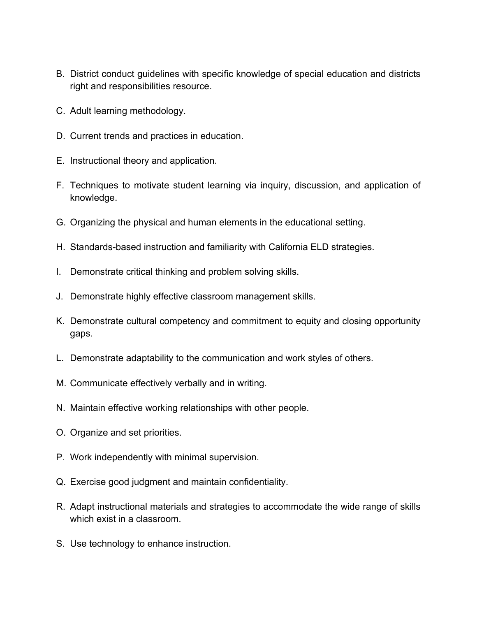- B. District conduct guidelines with specific knowledge of special education and districts right and responsibilities resource.
- C. Adult learning methodology.
- D. Current trends and practices in education.
- E. Instructional theory and application.
- F. Techniques to motivate student learning via inquiry, discussion, and application of knowledge.
- G. Organizing the physical and human elements in the educational setting.
- H. Standards-based instruction and familiarity with California ELD strategies.
- I. Demonstrate critical thinking and problem solving skills.
- J. Demonstrate highly effective classroom management skills.
- K. Demonstrate cultural competency and commitment to equity and closing opportunity gaps.
- L. Demonstrate adaptability to the communication and work styles of others.
- M. Communicate effectively verbally and in writing.
- N. Maintain effective working relationships with other people.
- O. Organize and set priorities.
- P. Work independently with minimal supervision.
- Q. Exercise good judgment and maintain confidentiality.
- R. Adapt instructional materials and strategies to accommodate the wide range of skills which exist in a classroom.
- S. Use technology to enhance instruction.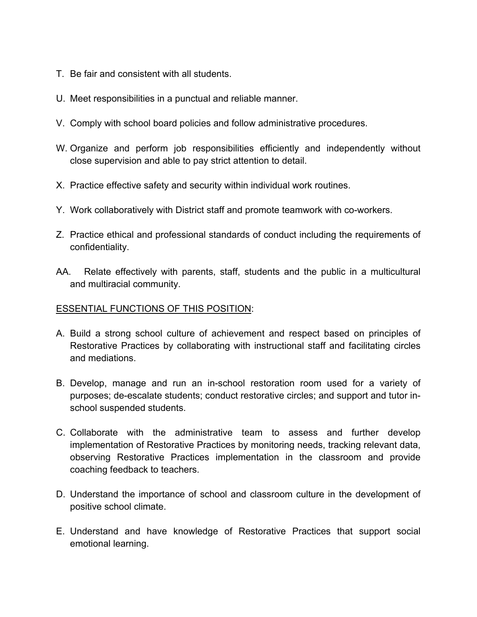- T. Be fair and consistent with all students.
- U. Meet responsibilities in a punctual and reliable manner.
- V. Comply with school board policies and follow administrative procedures.
- W. Organize and perform job responsibilities efficiently and independently without close supervision and able to pay strict attention to detail.
- X. Practice effective safety and security within individual work routines.
- Y. Work collaboratively with District staff and promote teamwork with co-workers.
- Z. Practice ethical and professional standards of conduct including the requirements of confidentiality.
- AA. Relate effectively with parents, staff, students and the public in a multicultural and multiracial community.

### ESSENTIAL FUNCTIONS OF THIS POSITION:

- A. Build a strong school culture of achievement and respect based on principles of Restorative Practices by collaborating with instructional staff and facilitating circles and mediations.
- B. Develop, manage and run an in-school restoration room used for a variety of purposes; de-escalate students; conduct restorative circles; and support and tutor inschool suspended students.
- C. Collaborate with the administrative team to assess and further develop implementation of Restorative Practices by monitoring needs, tracking relevant data, observing Restorative Practices implementation in the classroom and provide coaching feedback to teachers.
- D. Understand the importance of school and classroom culture in the development of positive school climate.
- E. Understand and have knowledge of Restorative Practices that support social emotional learning.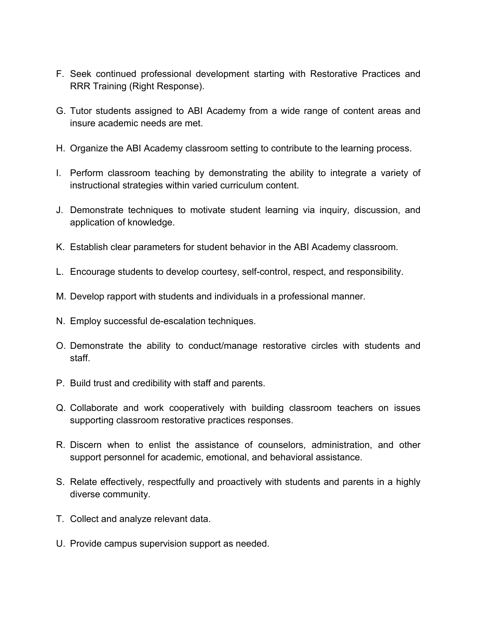- F. Seek continued professional development starting with Restorative Practices and RRR Training (Right Response).
- G. Tutor students assigned to ABI Academy from a wide range of content areas and insure academic needs are met.
- H. Organize the ABI Academy classroom setting to contribute to the learning process.
- I. Perform classroom teaching by demonstrating the ability to integrate a variety of instructional strategies within varied curriculum content.
- J. Demonstrate techniques to motivate student learning via inquiry, discussion, and application of knowledge.
- K. Establish clear parameters for student behavior in the ABI Academy classroom.
- L. Encourage students to develop courtesy, self-control, respect, and responsibility.
- M. Develop rapport with students and individuals in a professional manner.
- N. Employ successful de-escalation techniques.
- O. Demonstrate the ability to conduct/manage restorative circles with students and staff.
- P. Build trust and credibility with staff and parents.
- Q. Collaborate and work cooperatively with building classroom teachers on issues supporting classroom restorative practices responses.
- R. Discern when to enlist the assistance of counselors, administration, and other support personnel for academic, emotional, and behavioral assistance.
- S. Relate effectively, respectfully and proactively with students and parents in a highly diverse community.
- T. Collect and analyze relevant data.
- U. Provide campus supervision support as needed.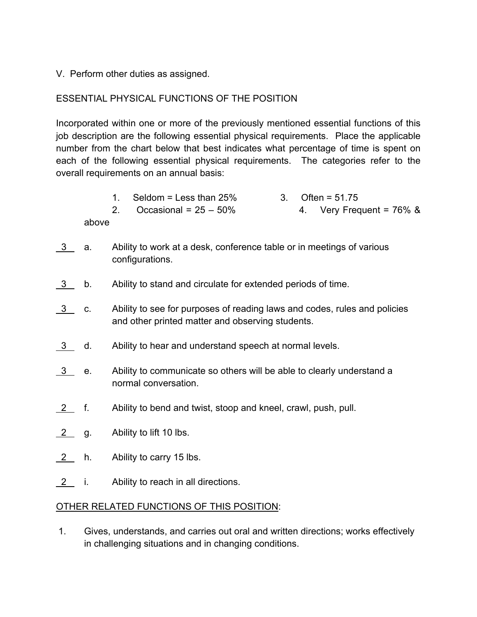### V. Perform other duties as assigned.

# ESSENTIAL PHYSICAL FUNCTIONS OF THE POSITION

Incorporated within one or more of the previously mentioned essential functions of this job description are the following essential physical requirements. Place the applicable number from the chart below that best indicates what percentage of time is spent on each of the following essential physical requirements. The categories refer to the overall requirements on an annual basis:

- 1. Seldom = Less than  $25\%$  3. Often =  $51.75$
- 2. Occasional =  $25 50\%$  4. Very Frequent =  $76\%$  & above
- \_3 a. Ability to work at a desk, conference table or in meetings of various configurations.
- 3 b. Ability to stand and circulate for extended periods of time.
- 3 c. Ability to see for purposes of reading laws and codes, rules and policies and other printed matter and observing students.
- $\overline{3}$  d. Ability to hear and understand speech at normal levels.
- 3 e. Ability to communicate so others will be able to clearly understand a normal conversation.
- 2 f. Ability to bend and twist, stoop and kneel, crawl, push, pull.
- $2$  g. Ability to lift 10 lbs.
- 2 h. Ability to carry 15 lbs.
- 2 i. Ability to reach in all directions.

#### OTHER RELATED FUNCTIONS OF THIS POSITION:

1. Gives, understands, and carries out oral and written directions; works effectively in challenging situations and in changing conditions.